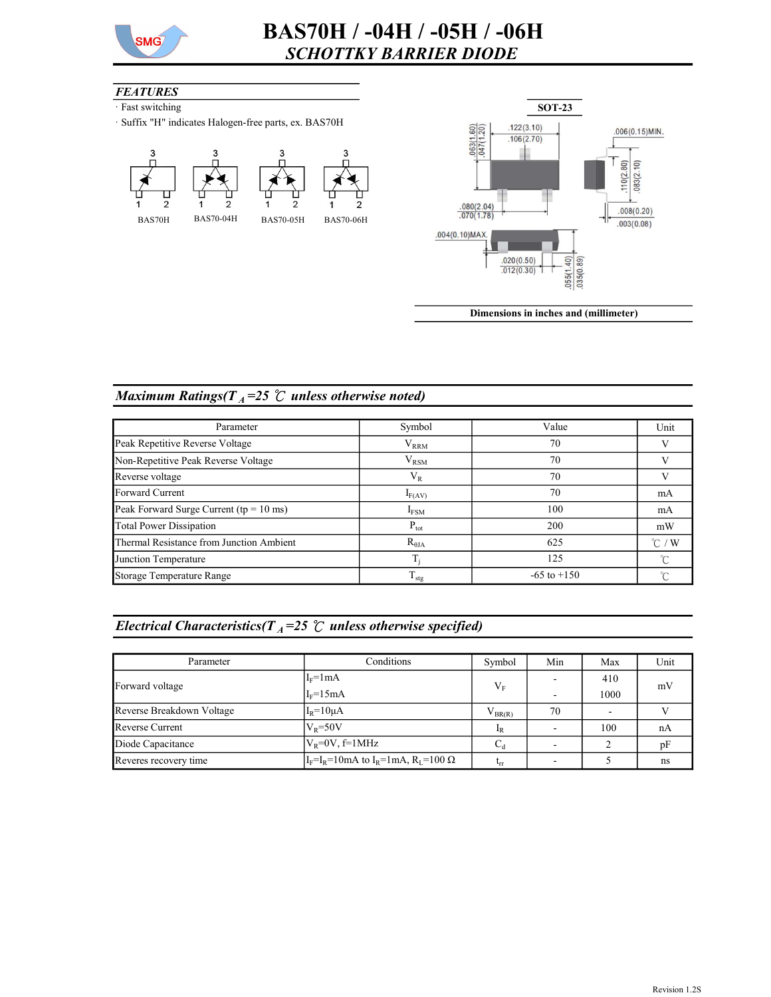

### **FEATURES**

- · Fast switching
- · Suffix "H" indicates Halogen-free parts, ex. BAS70H





Dimensions in inches and (millimeter)

# Maximum Ratings( $T_A = 25$  °C unless otherwise noted)

| Parameter                                  | Symbol           | Value           | Unit             |
|--------------------------------------------|------------------|-----------------|------------------|
| Peak Repetitive Reverse Voltage            | $\rm V_{RRM}$    | 70              |                  |
| Non-Repetitive Peak Reverse Voltage        | $\rm V_{RSM}$    | 70              |                  |
| Reverse voltage                            | $\rm V_R$        | 70              |                  |
| Forward Current                            | $I_{F(AV)}$      | 70              | mA               |
| Peak Forward Surge Current ( $tp = 10$ ms) | $I_{FSM}$        | 100             | mA               |
| <b>Total Power Dissipation</b>             | $P_{\text{tot}}$ | 200             | mW               |
| Thermal Resistance from Junction Ambient   | $R_{\theta JA}$  | 625             | $^{\circ}$ C / W |
| Junction Temperature                       |                  | 125             | $\gamma$         |
| Storage Temperature Range                  | $T_{\text{stg}}$ | $-65$ to $+150$ | $\sim$           |

# Electrical Characteristics( $T_A$ =25  $\degree$  unless otherwise specified)

| Parameter                                                                                         | Conditions       | Symbol      | Min | Max  | Unit |
|---------------------------------------------------------------------------------------------------|------------------|-------------|-----|------|------|
| Forward voltage                                                                                   | $I_F = 1mA$      | $V_{F}$     |     | 410  | mV   |
|                                                                                                   | $I_F=15mA$       |             |     | 1000 |      |
| Reverse Breakdown Voltage                                                                         | $I_R = 10 \mu A$ | $V_{BR(R)}$ | 70  |      |      |
| <b>Reverse Current</b>                                                                            | $V_p = 50V$      | $I_R$       |     | 100  | nA   |
| $V_{R} = 0V$ , f=1MHz<br>Diode Capacitance                                                        |                  | $C_d$       |     |      | pF   |
| $I_F = I_R = 10 \text{ mA}$ to $I_R = 1 \text{ mA}$ , $R_I = 100 \Omega$<br>Reveres recovery time |                  | Կա          |     |      | ns   |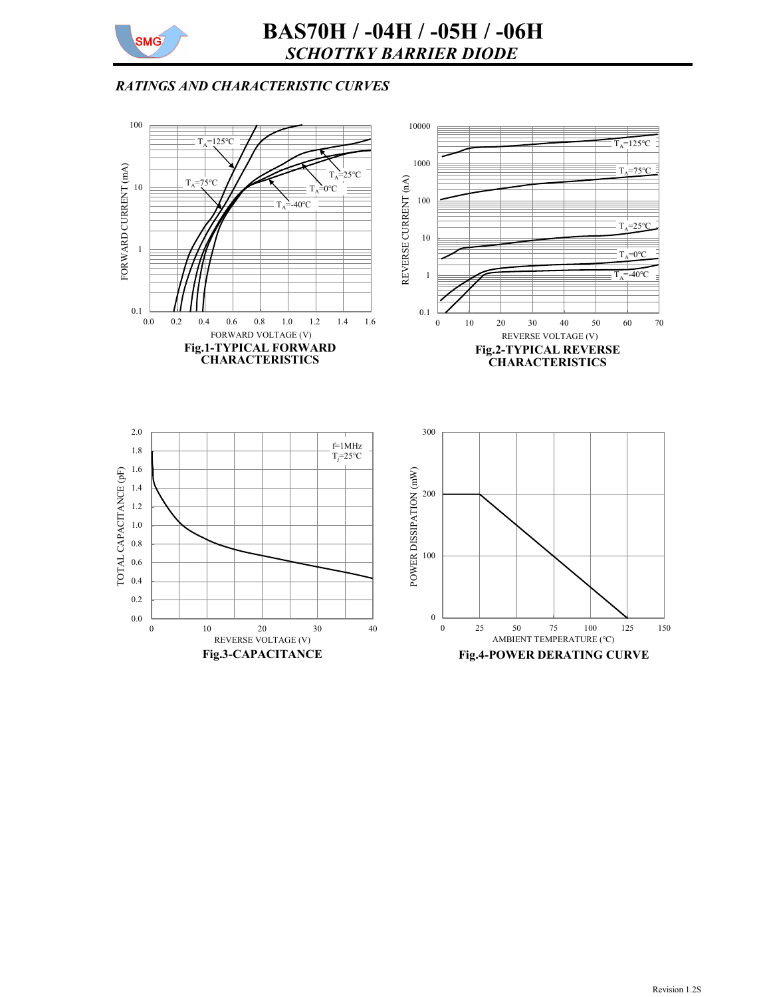

# RATINGS AND CHARACTERISTIC CURVES

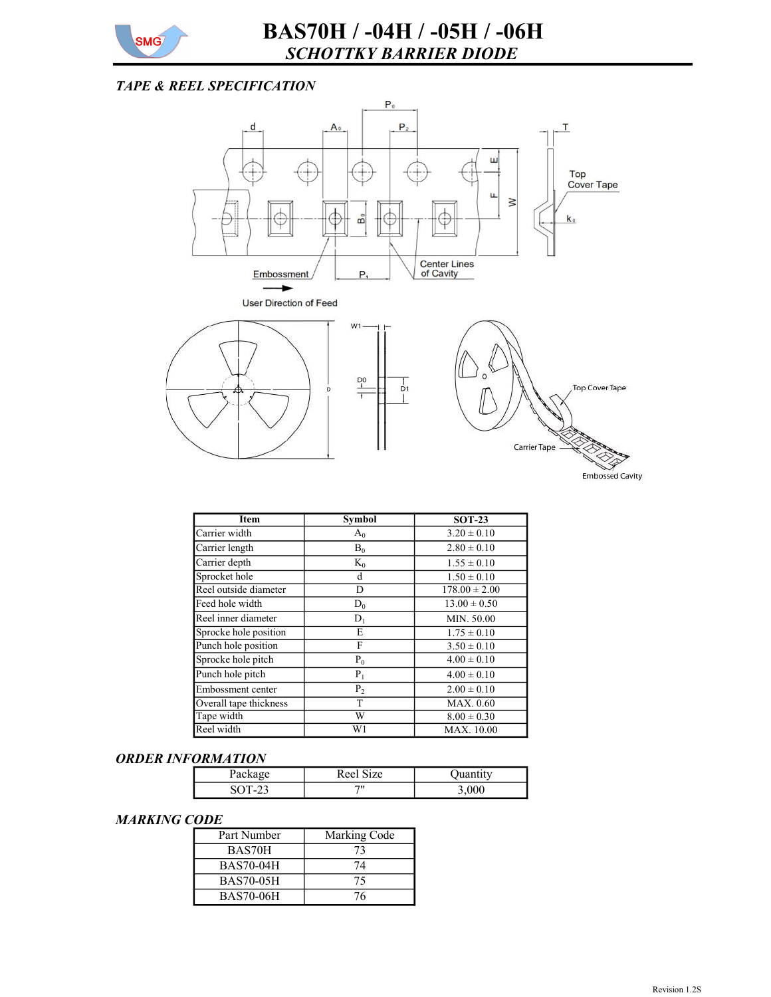

## TAPE & REEL SPECIFICATION



| <b>Item</b>            | <b>Symbol</b> | $SOT-23$          |
|------------------------|---------------|-------------------|
| Carrier width          | $A_0$         | $3.20 \pm 0.10$   |
| Carrier length         | $B_0$         | $2.80 \pm 0.10$   |
| Carrier depth          | $K_0$         | $1.55 \pm 0.10$   |
| Sprocket hole          | d             | $1.50 \pm 0.10$   |
| Reel outside diameter  | D             | $178.00 \pm 2.00$ |
| Feed hole width        | $D_0$         | $13.00 \pm 0.50$  |
| Reel inner diameter    | $D_1$         | MIN. 50.00        |
| Sprocke hole position  | Е             | $1.75 \pm 0.10$   |
| Punch hole position    | F             | $3.50 \pm 0.10$   |
| Sprocke hole pitch     | $P_0$         | $4.00 \pm 0.10$   |
| Punch hole pitch       | $P_1$         | $4.00 \pm 0.10$   |
| Embossment center      | $P_2$         | $2.00 \pm 0.10$   |
| Overall tape thickness | T             | MAX. 0.60         |
| Tape width             | W             | $8.00 \pm 0.30$   |
| Reel width             | W1            | <b>MAX.</b> 10.00 |

#### ORDER INFORMATION

|  | Reel Size |       |
|--|-----------|-------|
|  | 711       | 3,00C |

#### MARKING CODE

| Part Number      | Marking Code |
|------------------|--------------|
| BAS70H           | 73           |
| <b>BAS70-04H</b> | 74           |
| <b>BAS70-05H</b> | 75           |
| <b>BAS70-06H</b> | 76           |